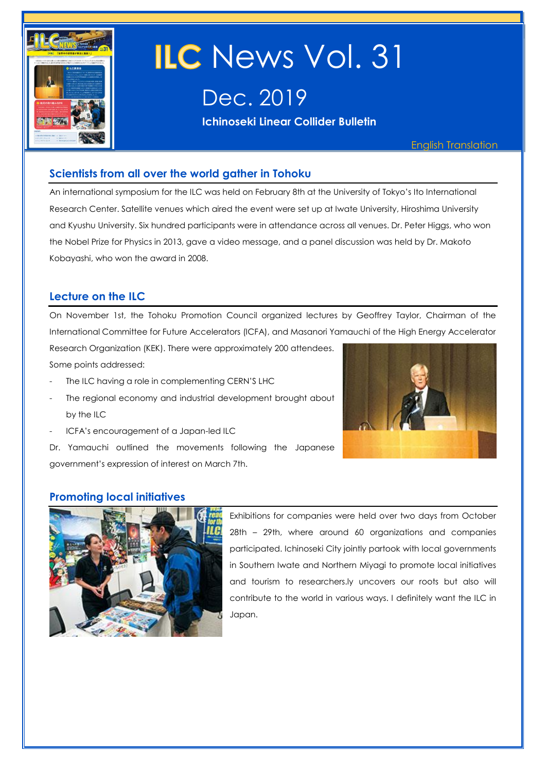

# ILC News Vol. 31

Dec. 2019

**Ichinoseki Linear Collider Bulletin** 

English Translation

## **Scientists from all over the world gather in Tohoku**

An international symposium for the ILC was held on February 8th at the University of Tokyo's Ito International Research Center. Satellite venues which aired the event were set up at Iwate University, Hiroshima University and Kyushu University. Six hundred participants were in attendance across all venues. Dr. Peter Higgs, who won the Nobel Prize for Physics in 2013, gave a video message, and a panel discussion was held by Dr. Makoto Kobayashi, who won the award in 2008.

## **Lecture on the ILC**

On November 1st, the Tohoku Promotion Council organized lectures by Geoffrey Taylor, Chairman of the International Committee for Future Accelerators (ICFA), and Masanori Yamauchi of the High Energy Accelerator

Research Organization (KEK). There were approximately 200 attendees. Some points addressed:

- The ILC having a role in complementing CERN'S LHC
- The regional economy and industrial development brought about by the ILC
- 

ICFA's encouragement of a Japan-led ILC

Dr. Yamauchi outlined the movements following the Japanese government's expression of interest on March 7th.

### **Promoting local initiatives**



Exhibitions for companies were held over two days from October 28th – 29th, where around 60 organizations and companies participated. Ichinoseki City jointly partook with local governments in Southern Iwate and Northern Miyagi to promote local initiatives and tourism to researchers.ly uncovers our roots but also will contribute to the world in various ways. I definitely want the ILC in Japan.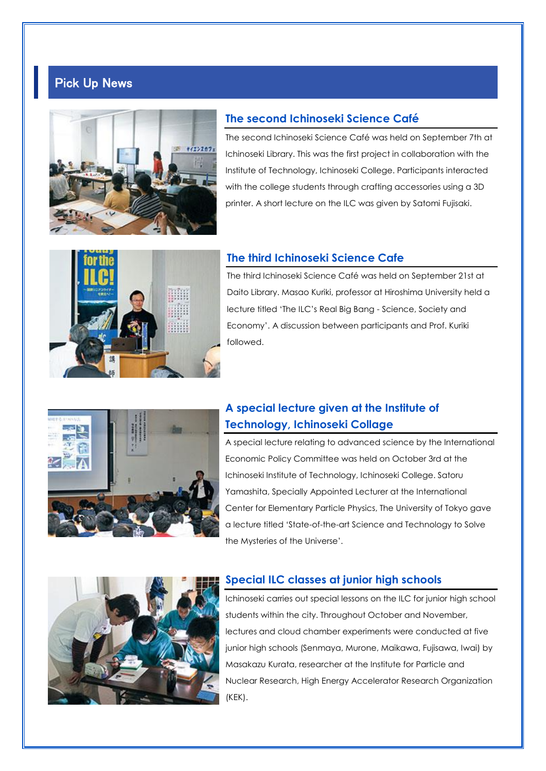## Pick Up News



#### **The second Ichinoseki Science Café**

The second Ichinoseki Science Café was held on September 7th at Ichinoseki Library. This was the first project in collaboration with the Institute of Technology, Ichinoseki College. Participants interacted with the college students through crafting accessories using a 3D printer. A short lecture on the ILC was given by Satomi Fujisaki.



#### **The third Ichinoseki Science Cafe**

The third Ichinoseki Science Café was held on September 21st at Daito Library. Masao Kuriki, professor at Hiroshima University held a lecture titled 'The ILC's Real Big Bang - Science, Society and Economy'. A discussion between participants and Prof. Kuriki followed.



## **A special lecture given at the Institute of Technology, Ichinoseki Collage**

A special lecture relating to advanced science by the International Economic Policy Committee was held on October 3rd at the Ichinoseki Institute of Technology, Ichinoseki College. Satoru Yamashita, Specially Appointed Lecturer at the International Center for Elementary Particle Physics, The University of Tokyo gave a lecture titled 'State-of-the-art Science and Technology to Solve the Mysteries of the Universe'.



#### **Special ILC classes at junior high schools**

Ichinoseki carries out special lessons on the ILC for junior high school students within the city. Throughout October and November, lectures and cloud chamber experiments were conducted at five junior high schools (Senmaya, Murone, Maikawa, Fujisawa, Iwai) by Masakazu Kurata, researcher at the Institute for Particle and Nuclear Research, High Energy Accelerator Research Organization (KEK).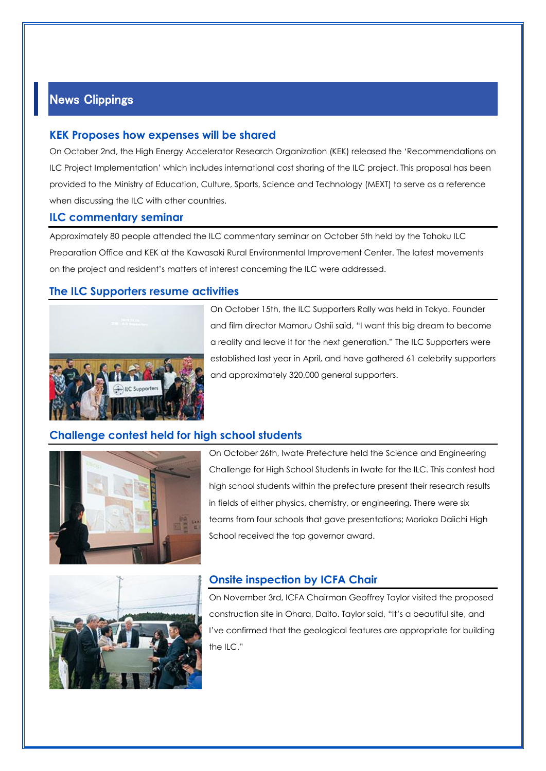## News Clippings

#### **KEK Proposes how expenses will be shared**

On October 2nd, the High Energy Accelerator Research Organization (KEK) released the 'Recommendations on ILC Project Implementation' which includes international cost sharing of the ILC project. This proposal has been provided to the Ministry of Education, Culture, Sports, Science and Technology (MEXT) to serve as a reference when discussing the ILC with other countries.

#### **ILC commentary seminar**

Approximately 80 people attended the ILC commentary seminar on October 5th held by the Tohoku ILC Preparation Office and KEK at the Kawasaki Rural Environmental Improvement Center. The latest movements on the project and resident's matters of interest concerning the ILC were addressed.

#### **The ILC Supporters resume activities**



On October 15th, the ILC Supporters Rally was held in Tokyo. Founder and film director Mamoru Oshii said, "I want this big dream to become a reality and leave it for the next generation." The ILC Supporters were established last year in April, and have gathered 61 celebrity supporters and approximately 320,000 general supporters.

### **Challenge contest held for high school students**



On October 26th, Iwate Prefecture held the Science and Engineering Challenge for High School Students in Iwate for the ILC. This contest had high school students within the prefecture present their research results in fields of either physics, chemistry, or engineering. There were six teams from four schools that gave presentations; Morioka Daiichi High School received the top governor award.



### **Onsite inspection by ICFA Chair**

On November 3rd, ICFA Chairman Geoffrey Taylor visited the proposed construction site in Ohara, Daito. Taylor said, "It's a beautiful site, and I've confirmed that the geological features are appropriate for building the ILC."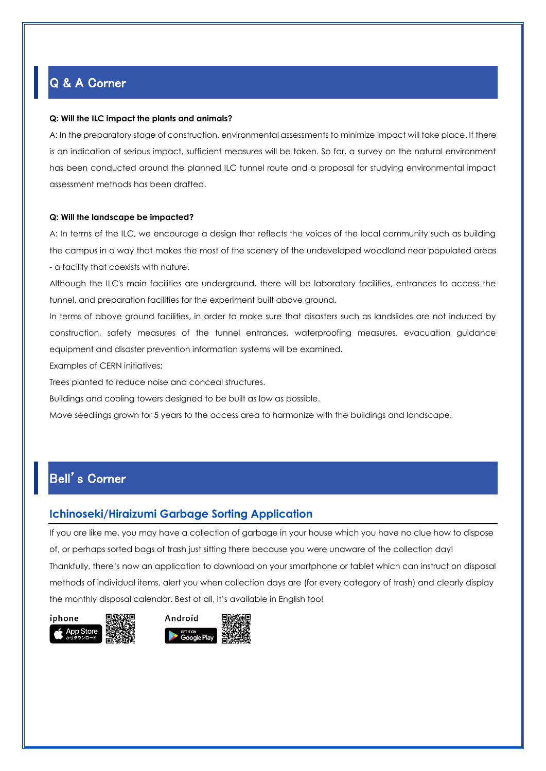## Q & A Corner

#### **Q: Will the ILC impact the plants and animals?**

A: In the preparatory stage of construction, environmental assessments to minimize impact will take place. If there is an indication of serious impact, sufficient measures will be taken. So far, a survey on the natural environment has been conducted around the planned ILC tunnel route and a proposal for studying environmental impact assessment methods has been drafted.

#### **Q: Will the landscape be impacted?**

A: In terms of the ILC, we encourage a design that reflects the voices of the local community such as building the campus in a way that makes the most of the scenery of the undeveloped woodland near populated areas - a facility that coexists with nature.

Although the ILC's main facilities are underground, there will be laboratory facilities, entrances to access the tunnel, and preparation facilities for the experiment built above ground.

In terms of above ground facilities, in order to make sure that disasters such as landslides are not induced by construction, safety measures of the tunnel entrances, waterproofing measures, evacuation guidance equipment and disaster prevention information systems will be examined.

Examples of CERN initiatives:

Trees planted to reduce noise and conceal structures.

Buildings and cooling towers designed to be built as low as possible.

Move seedlings grown for 5 years to the access area to harmonize with the buildings and landscape.

# Bell's Corner

#### **Ichinoseki/Hiraizumi Garbage Sorting Application**

If you are like me, you may have a collection of garbage in your house which you have no clue how to dispose of, or perhaps sorted bags of trash just sitting there because you were unaware of the collection day! Thankfully, there's now an application to download on your smartphone or tablet which can instruct on disposal methods of individual items, alert you when collection days are (for every category of trash) and clearly display the monthly disposal calendar. Best of all, it's available in English too!